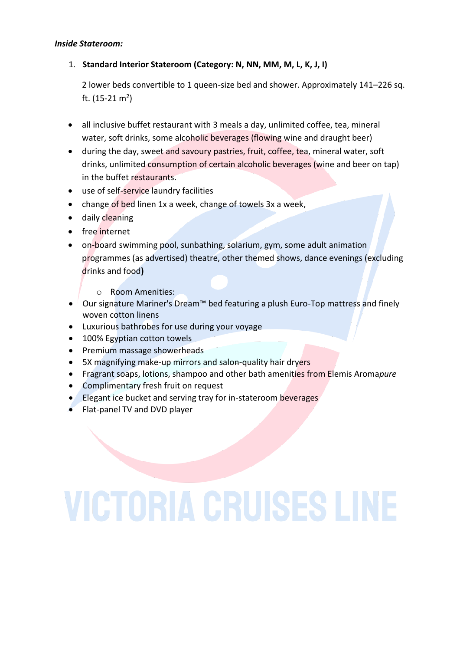### *Inside Stateroom:*

## 1. **Standard Interior Stateroom (Category: N, NN, MM, M, L, K, J, I)**

 2 lower beds convertible to 1 queen-size bed and shower. Approximately 141–226 sq. ft. (15-21 m<sup>2</sup>)

- all inclusive buffet restaurant with 3 meals a day, unlimited coffee, tea, mineral water, soft drinks, some alcoholic beverages (flowing wine and draught beer)
- during the day, sweet and savoury pastries, fruit, coffee, tea, mineral water, soft drinks, unlimited consumption of certain alcoholic beverages (wine and beer on tap) in the buffet restaurants.
- use of self-service laundry facilities
- change of bed linen 1x a week, change of towels 3x a week,
- daily cleaning
- free internet
- on-board swimming pool, sunbathing, solarium, gym, some adult animation programmes (as advertised) theatre, other themed shows, dance evenings (excluding drinks and food**)**
	- o Room Amenities:
- Our signature Mariner's Dream™ bed featuring a plush Euro-Top mattress and finely woven cotton linens
- Luxurious bathrobes for use during your voyage
- 100% Egyptian cotton towels
- Premium massage showerheads
- 5X magnifying make-up mirrors and salon-quality hair dryers
- Fragrant soaps, lotions, shampoo and other bath amenities from Elemis Aroma*pure*
- Complimentary fresh fruit on request
- Elegant ice bucket and serving tray for in-stateroom beverages
- Flat-panel TV and DVD player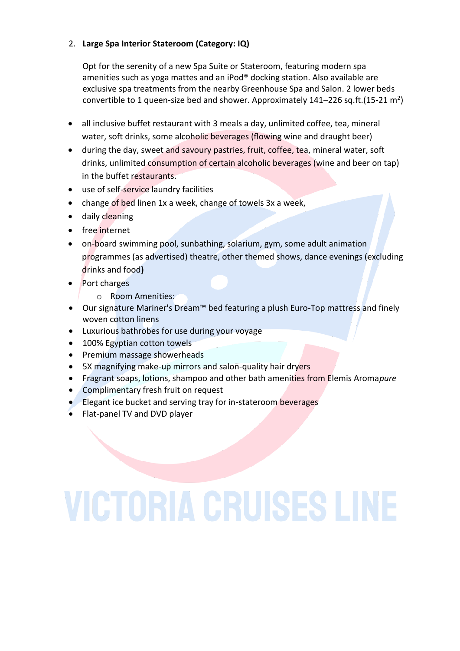## 2. **Large Spa Interior Stateroom (Category: IQ)**

Opt for the serenity of a new Spa Suite or Stateroom, featuring modern spa amenities such as yoga mattes and an iPod® docking station. Also available are exclusive spa treatments from the nearby Greenhouse Spa and Salon. 2 lower beds convertible to 1 queen-size bed and shower. Approximately 141–226 sq.ft.(15-21 m<sup>2</sup>)

- all inclusive buffet restaurant with 3 meals a day, unlimited coffee, tea, mineral water, soft drinks, some alcoholic beverages (flowing wine and draught beer)
- during the day, sweet and savoury pastries, fruit, coffee, tea, mineral water, soft drinks, unlimited consumption of certain alcoholic beverages (wine and beer on tap) in the buffet restaurants.
- use of self-service laundry facilities
- change of bed linen 1x a week, change of towels 3x a week,
- daily cleaning
- free internet
- on-board swimming pool, sunbathing, solarium, gym, some adult animation programmes (as advertised) theatre, other themed shows, dance evenings (excluding drinks and food**)**
- Port charges
	- o Room Amenities:
- Our signature Mariner's Dream™ bed featuring a plush Euro-Top mattress and finely woven cotton linens
- Luxurious bathrobes for use during your voyage
- 100% Egyptian cotton towels
- Premium massage showerheads
- 5X magnifying make-up mirrors and salon-quality hair dryers
- Fragrant soaps, lotions, shampoo and other bath amenities from Elemis Aroma*pure*
- Complimentary fresh fruit on request
- Elegant ice bucket and serving tray for in-stateroom beverages
- Flat-panel TV and DVD player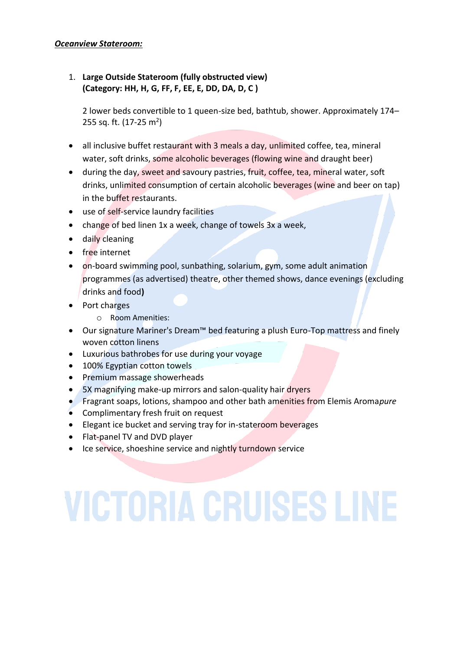### *Oceanview Stateroom:*

## 1. **Large Outside Stateroom (fully obstructed view) (Category: HH, H, G, FF, F, EE, E, DD, DA, D, C )**

2 lower beds convertible to 1 queen-size bed, bathtub, shower. Approximately 174– 255 sq. ft. (17-25 m<sup>2</sup>)

- all inclusive buffet restaurant with 3 meals a day, unlimited coffee, tea, mineral water, soft drinks, some alcoholic beverages (flowing wine and draught beer)
- during the day, sweet and savoury pastries, fruit, coffee, tea, mineral water, soft drinks, unlimited consumption of certain alcoholic beverages (wine and beer on tap) in the buffet restaurants.
- use of self-service laundry facilities
- change of bed linen 1x a week, change of towels 3x a week,
- daily cleaning
- free internet
- on-board swimming pool, sunbathing, solarium, gym, some adult animation programmes (as advertised) theatre, other themed shows, dance evenings (excluding drinks and food**)**
- Port charges
	- o Room Amenities:
- Our signature Mariner's Dream™ bed featuring a plush Euro-Top mattress and finely woven cotton linens
- Luxurious bathrobes for use during your voyage
- 100% Egyptian cotton towels
- Premium massage showerheads
- 5X magnifying make-up mirrors and salon-quality hair dryers
- Fragrant soaps, lotions, shampoo and other bath amenities from Elemis Aroma*pure*
- Complimentary fresh fruit on request
- Elegant ice bucket and serving tray for in-stateroom beverages
- Flat-panel TV and DVD player
- Ice service, shoeshine service and nightly turndown service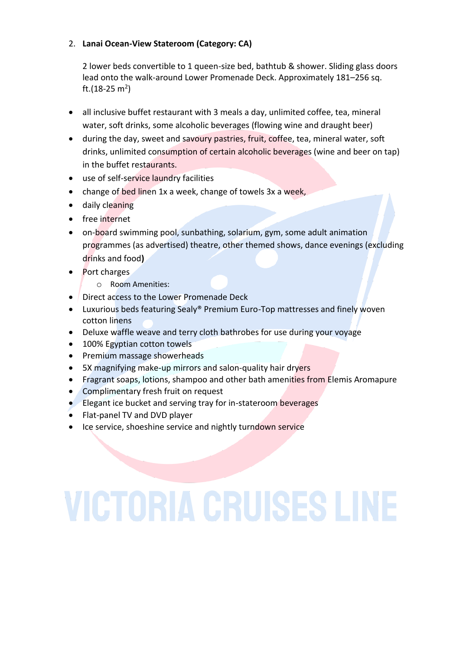## 2. **Lanai Ocean-View Stateroom (Category: CA)**

2 lower beds convertible to 1 queen-size bed, bathtub & shower. Sliding glass doors lead onto the walk-around Lower Promenade Deck. Approximately 181–256 sq. ft.(18-25 m<sup>2</sup>)

- all inclusive buffet restaurant with 3 meals a day, unlimited coffee, tea, mineral water, soft drinks, some alcoholic beverages (flowing wine and draught beer)
- during the day, sweet and savoury pastries, fruit, coffee, tea, mineral water, soft drinks, unlimited consumption of certain alcoholic beverages (wine and beer on tap) in the buffet restaurants.
- use of self-service laundry facilities
- change of bed linen 1x a week, change of towels 3x a week,
- daily cleaning
- free internet
- on-board swimming pool, sunbathing, solarium, gym, some adult animation programmes (as advertised) theatre, other themed shows, dance evenings (excluding drinks and food**)**
- Port charges
	- o Room Amenities:
- Direct access to the Lower Promenade Deck
- Luxurious beds featuring Sealy® Premium Euro-Top mattresses and finely woven cotton linens
- Deluxe waffle weave and terry cloth bathrobes for use during your voyage
- 100% Egyptian cotton towels
- Premium massage showerheads
- 5X magnifying make-up mirrors and salon-quality hair dryers
- Fragrant soaps, lotions, shampoo and other bath amenities from Elemis Aromapure
- Complimentary fresh fruit on request
- Elegant ice bucket and serving tray for in-stateroom beverages
- Flat-panel TV and DVD player
- Ice service, shoeshine service and nightly turndown service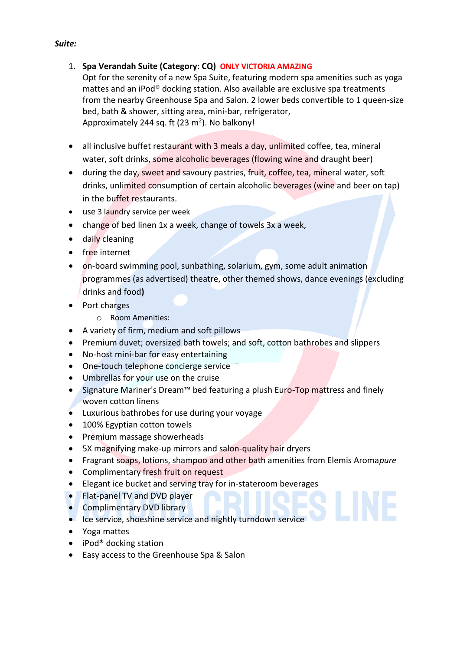## 1. **Spa Verandah Suite (Category: CQ) ONLY VICTORIA AMAZING**

Opt for the serenity of a new Spa Suite, featuring modern spa amenities such as yoga mattes and an iPod® docking station. Also available are exclusive spa treatments from the nearby Greenhouse Spa and Salon. 2 lower beds convertible to 1 queen-size bed, bath & shower, sitting area, mini-bar, refrigerator, Approximately 244 sq. ft (23 m<sup>2</sup>). No balkony!

- all inclusive buffet restaurant with 3 meals a day, unlimited coffee, tea, mineral water, soft drinks, some alcoholic beverages (flowing wine and draught beer)
- during the day, sweet and savoury pastries, fruit, coffee, tea, mineral water, soft drinks, unlimited consumption of certain alcoholic beverages (wine and beer on tap) in the buffet restaurants.
- use 3 laundry service per week
- change of bed linen 1x a week, change of towels 3x a week,
- daily cleaning
- free internet
- on-board swimming pool, sunbathing, solarium, gym, some adult animation programmes (as advertised) theatre, other themed shows, dance evenings (excluding drinks and food**)**
- Port charges
	- o Room Amenities:
- A variety of firm, medium and soft pillows
- Premium duvet; oversized bath towels; and soft, cotton bathrobes and slippers
- No-host mini-bar for easy entertaining
- One-touch telephone concierge service
- Umbrellas for your use on the cruise
- Signature Mariner's Dream™ bed featuring a plush Euro-Top mattress and finely woven cotton linens
- Luxurious bathrobes for use during your voyage
- 100% Egyptian cotton towels
- Premium massage showerheads
- 5X magnifying make-up mirrors and salon-quality hair dryers
- Fragrant soaps, lotions, shampoo and other bath amenities from Elemis Aroma*pure*
- Complimentary fresh fruit on request
- Elegant ice bucket and serving tray for in-stateroom beverages
- Flat-panel TV and DVD player
- Complimentary DVD library
- Ice service, shoeshine service and nightly turndown service
- Yoga mattes
- iPod<sup>®</sup> docking station
- Easy access to the Greenhouse Spa & Salon

## *Suite:*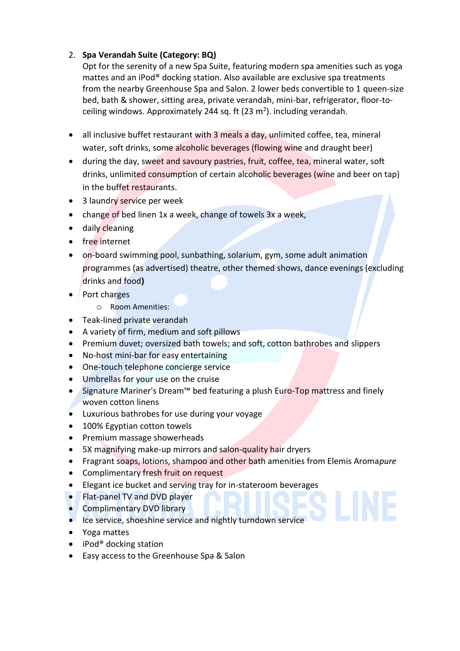## 2. **Spa Verandah Suite (Category: BQ)**

Opt for the serenity of a new Spa Suite, featuring modern spa amenities such as yoga mattes and an iPod® docking station. Also available are exclusive spa treatments from the nearby Greenhouse Spa and Salon. 2 lower beds convertible to 1 queen-size bed, bath & shower, sitting area, private verandah, mini-bar, refrigerator, floor-toceiling windows. Approximately 244 sq. ft (23 m<sup>2</sup>). including verandah.

- all inclusive buffet restaurant with 3 meals a day, unlimited coffee, tea, mineral water, soft drinks, some alcoholic beverages (flowing wine and draught beer)
- during the day, sweet and savoury pastries, fruit, coffee, tea, mineral water, soft drinks, unlimited consumption of certain alcoholic beverages (wine and beer on tap) in the buffet restaurants.
- 3 laundry service per week
- change of bed linen 1x a week, change of towels 3x a week,
- daily cleaning
- free internet
- on-board swimming pool, sunbathing, solarium, gym, some adult animation programmes (as advertised) theatre, other themed shows, dance evenings (excluding drinks and food**)**
- Port charges
	- o Room Amenities:
- Teak-lined private verandah
- A variety of firm, medium and soft pillows
- Premium duvet; oversized bath towels; and soft, cotton bathrobes and slippers
- No-host mini-bar for easy entertaining
- One-touch telephone concierge service
- Umbrellas for your use on the cruise
- Signature Mariner's Dream<sup>™</sup> bed featuring a plush Euro-Top mattress and finely woven cotton linens
- Luxurious bathrobes for use during your voyage
- 100% Egyptian cotton towels
- Premium massage showerheads
- 5X magnifying make-up mirrors and salon-quality hair dryers
- Fragrant soaps, lotions, shampoo and other bath amenities from Elemis Aroma*pure*
- Complimentary fresh fruit on request
- Elegant ice bucket and serving tray for in-stateroom beverages
- Flat-panel TV and DVD player
- Complimentary DVD library
- Ice service, shoeshine service and nightly turndown service
- Yoga mattes
- iPod<sup>®</sup> docking station
- Easy access to the Greenhouse Spa & Salon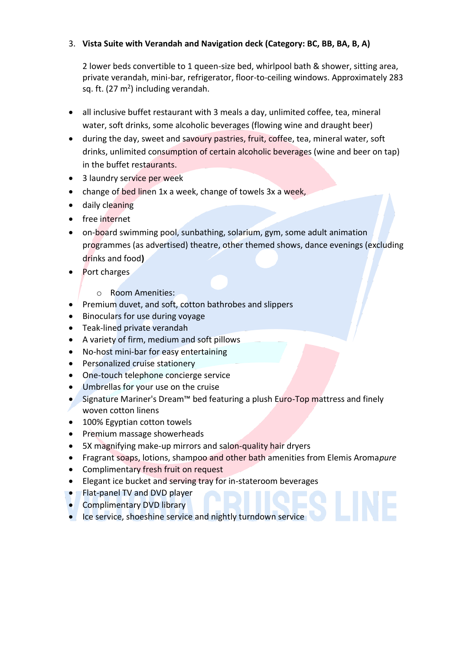## 3. **Vista Suite with Verandah and Navigation deck (Category: BC, BB, BA, B, A)**

2 lower beds convertible to 1 queen-size bed, whirlpool bath & shower, sitting area, private verandah, mini-bar, refrigerator, floor-to-ceiling windows. Approximately 283 sq. ft. (27 m<sup>2</sup>) including verandah.

- all inclusive buffet restaurant with 3 meals a day, unlimited coffee, tea, mineral water, soft drinks, some alcoholic beverages (flowing wine and draught beer)
- during the day, sweet and savoury pastries, fruit, coffee, tea, mineral water, soft drinks, unlimited consumption of certain alcoholic beverages (wine and beer on tap) in the buffet restaurants.
- 3 laundry service per week
- change of bed linen 1x a week, change of towels 3x a week,
- daily cleaning
- free internet
- on-board swimming pool, sunbathing, solarium, gym, some adult animation programmes (as advertised) theatre, other themed shows, dance evenings (excluding drinks and food**)**
- Port charges
	- o Room Amenities:
- Premium duvet, and soft, cotton bathrobes and slippers
- Binoculars for use during voyage
- Teak-lined private verandah
- A variety of firm, medium and soft pillows
- No-host mini-bar for easy entertaining
- Personalized cruise stationery
- One-touch telephone concierge service
- Umbrellas for your use on the cruise
- Signature Mariner's Dream™ bed featuring a plush Euro-Top mattress and finely woven cotton linens
- 100% Egyptian cotton towels
- Premium massage showerheads
- 5X magnifying make-up mirrors and salon-quality hair dryers
- Fragrant soaps, lotions, shampoo and other bath amenities from Elemis Aroma*pure*
- Complimentary fresh fruit on request
- Elegant ice bucket and serving tray for in-stateroom beverages
- Flat-panel TV and DVD player
- Complimentary DVD library
- Ice service, shoeshine service and nightly turndown service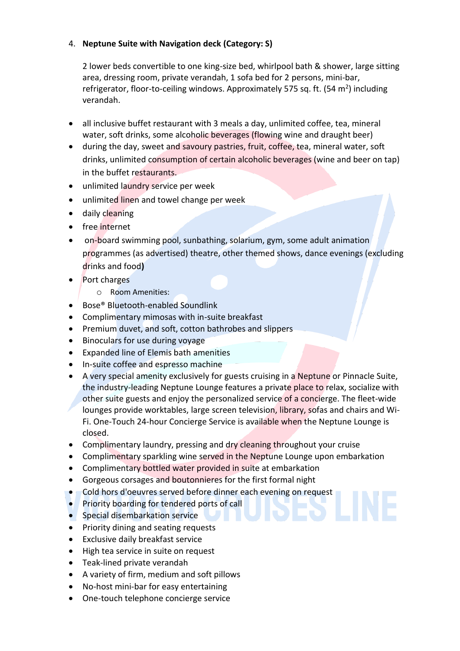## 4. **Neptune Suite with Navigation deck (Category: S)**

2 lower beds convertible to one king-size bed, whirlpool bath & shower, large sitting area, dressing room, private verandah, 1 sofa bed for 2 persons, mini-bar, refrigerator, floor-to-ceiling windows. Approximately 575 sq. ft. (54 m<sup>2</sup>) including verandah.

- all inclusive buffet restaurant with 3 meals a day, unlimited coffee, tea, mineral water, soft drinks, some alcoholic beverages (flowing wine and draught beer)
- during the day, sweet and savoury pastries, fruit, coffee, tea, mineral water, soft drinks, unlimited consumption of certain alcoholic beverages (wine and beer on tap) in the buffet restaurants.
- unlimited laundry service per week
- unlimited linen and towel change per week
- daily cleaning
- free internet
- on-board swimming pool, sunbathing, solarium, gym, some adult animation programmes (as advertised) theatre, other themed shows, dance evenings (excluding drinks and food**)**
- Port charges
	- o Room Amenities:
- Bose® Bluetooth-enabled Soundlink
- Complimentary mimosas with in-suite breakfast
- Premium duvet, and soft, cotton bathrobes and slippers
- Binoculars for use during voyage
- Expanded line of Elemis bath amenities
- In-suite coffee and espresso machine
- A very special amenity exclusively for guests cruising in a Neptune or Pinnacle Suite, the industry-leading Neptune Lounge features a private place to relax, socialize with other suite guests and enjoy the personalized service of a concierge. The fleet-wide lounges provide worktables, large screen television, library, sofas and chairs and Wi-Fi. One-Touch 24-hour Concierge Service is available when the Neptune Lounge is closed.
- Complimentary laundry, pressing and dry cleaning throughout your cruise
- Complimentary sparkling wine served in the Neptune Lounge upon embarkation
- Complimentary bottled water provided in suite at embarkation
- Gorgeous corsages and boutonnieres for the first formal night
- Cold hors d'oeuvres served before dinner each evening on request
- Priority boarding for tendered ports of call
- Special disembarkation service
- Priority dining and seating requests
- Exclusive daily breakfast service
- High tea service in suite on request
- Teak-lined private verandah
- A variety of firm, medium and soft pillows
- No-host mini-bar for easy entertaining
- One-touch telephone concierge service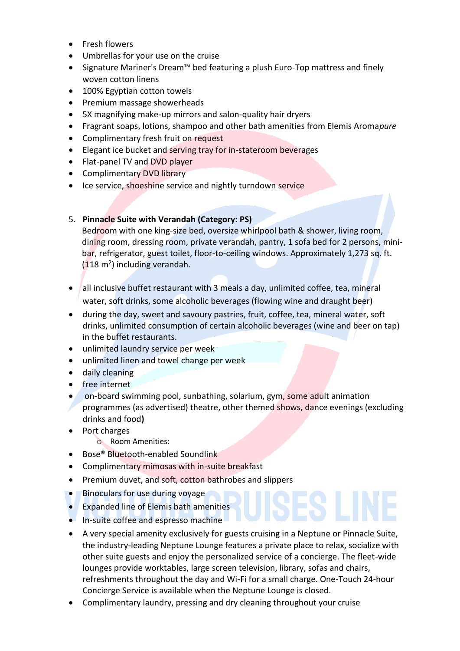- Fresh flowers
- Umbrellas for your use on the cruise
- Signature Mariner's Dream™ bed featuring a plush Euro-Top mattress and finely woven cotton linens
- 100% Egyptian cotton towels
- Premium massage showerheads
- 5X magnifying make-up mirrors and salon-quality hair dryers
- Fragrant soaps, lotions, shampoo and other bath amenities from Elemis Aroma*pure*
- Complimentary fresh fruit on request
- Elegant ice bucket and serving tray for in-stateroom beverages
- Flat-panel TV and DVD player
- Complimentary DVD library
- Ice service, shoeshine service and nightly turndown service

## 5. **Pinnacle Suite with Verandah (Category: PS)**

Bedroom with one king-size bed, oversize whirlpool bath & shower, living room, dining room, dressing room, private verandah, pantry, 1 sofa bed for 2 persons, minibar, refrigerator, guest toilet, floor-to-ceiling windows. Approximately 1,273 sq. ft. (118 m<sup>2</sup>) including verandah.

- all inclusive buffet restaurant with 3 meals a day, unlimited coffee, tea, mineral water, soft drinks, some alcoholic beverages (flowing wine and draught beer)
- during the day, sweet and savoury pastries, fruit, coffee, tea, mineral water, soft drinks, unlimited consumption of certain alcoholic beverages (wine and beer on tap) in the buffet restaurants.
- unlimited laundry service per week
- unlimited linen and towel change per week
- daily cleaning
- free internet
- on-board swimming pool, sunbathing, solarium, gym, some adult animation programmes (as advertised) theatre, other themed shows, dance evenings (excluding drinks and food**)**
- Port charges
	- o Room Amenities:
- Bose® Bluetooth-enabled Soundlink
- Complimentary mimosas with in-suite breakfast
- Premium duvet, and soft, cotton bathrobes and slippers
- Binoculars for use during voyage
- Expanded line of Elemis bath amenities
- In-suite coffee and espresso machine
- A very special amenity exclusively for guests cruising in a Neptune or Pinnacle Suite, the industry-leading Neptune Lounge features a private place to relax, socialize with other suite guests and enjoy the personalized service of a concierge. The fleet-wide lounges provide worktables, large screen television, library, sofas and chairs, refreshments throughout the day and Wi-Fi for a small charge. One-Touch 24-hour Concierge Service is available when the Neptune Lounge is closed.
- Complimentary laundry, pressing and dry cleaning throughout your cruise